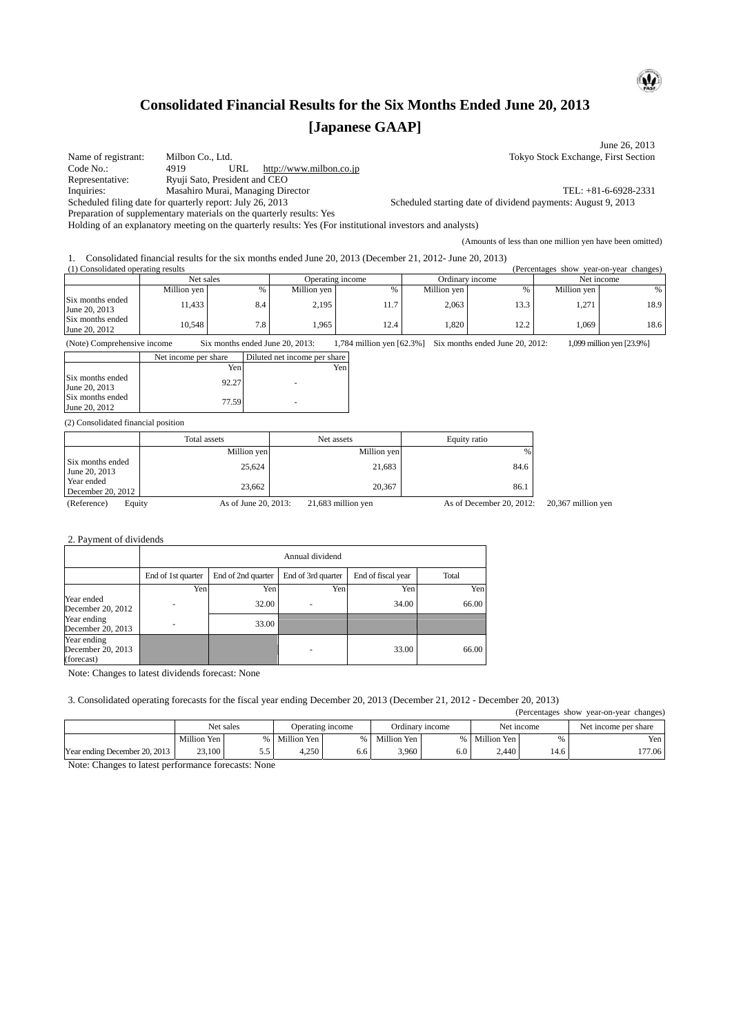# **Consolidated Financial Results for the Six Months Ended June 20, 2013 [Japanese GAAP]**

June 26, 2013 Name of registrant: Milbon Co., Ltd. Tokyo Stock Exchange, First Section<br>
Code No.: 4919 URL http://www.milbon.co.jp Code No.: 4919 URL http://www.milbon.co.jp<br>
Representative: Ryuji Sato, President and CEO Ryuji Sato, President and CEO Inquiries: Masahiro Murai, Managing Director<br>
Scheduled starting date of dividend payments: August 9, 2013<br>
Scheduled starting date of dividend payments: August 9, 2013 Scheduled starting date of dividend payments: August 9, 2013 Preparation of supplementary materials on the quarterly results: Yes

Holding of an explanatory meeting on the quarterly results: Yes (For institutional investors and analysts)

(Amounts of less than one million yen have been omitted)

1. Consolidated financial results for the six months ended June 20, 2013 (December 21, 2012- June 20, 2013)

|                                   | (1) Consolidated operating results<br>(Percentages show)<br>year-on-year changes) |     |                  |      |                 |             |             |      |
|-----------------------------------|-----------------------------------------------------------------------------------|-----|------------------|------|-----------------|-------------|-------------|------|
|                                   | Net sales                                                                         |     | Operating income |      | Ordinary income |             | Net income  |      |
|                                   | Million yen                                                                       | %   | Million ven      |      | Million yen     | 0/2         | Million yen | %    |
| Six months ended<br>June 20, 2013 | 1.433                                                                             | 8.4 | 2,195            | 11.7 | 2,063           | 13.3        | 1,271       | 18.9 |
| Six months ended<br>June 20, 2012 | 10.548                                                                            | 7.8 | .965             | 12.4 | .820            | 122<br>12.Z | .069        | 18.6 |

(Note) Comprehensive income Six months ended June 20, 2013: 1,784 million yen [62.3%] Six months ended June 20, 2012: 1,099 million yen [23.9%]

|                                   | Net income per share | Diluted net income per share |  |
|-----------------------------------|----------------------|------------------------------|--|
|                                   | Yen                  | Yen                          |  |
| Six months ended<br>June 20, 2013 | 92.27                |                              |  |
| Six months ended<br>June 20, 2012 | 77.59                |                              |  |

(2) Consolidated financial position

|                                   |        | Total assets         | Net assets         |             | Equity ratio             |                    |
|-----------------------------------|--------|----------------------|--------------------|-------------|--------------------------|--------------------|
|                                   |        | Million yen          |                    | Million yen | %1                       |                    |
| Six months ended<br>June 20, 2013 |        | 25.624               |                    | 21,683      | 84.6                     |                    |
| Year ended<br>December 20, $2012$ |        | 23.662               |                    | 20,367      | 86.1                     |                    |
| (Reference)                       | Equity | As of June 20, 2013: | 21,683 million yen |             | As of December 20, 2012: | 20,367 million yen |

2. Payment of dividends

|                                                | Annual dividend    |                    |                    |                    |       |  |  |
|------------------------------------------------|--------------------|--------------------|--------------------|--------------------|-------|--|--|
|                                                | End of 1st quarter | End of 2nd quarter | End of 3rd quarter | End of fiscal year | Total |  |  |
|                                                | Yen                | Yen                | Yen                | Yen                | Yen   |  |  |
| Year ended<br>December 20, 2012                |                    | 32.00              |                    | 34.00              | 66.00 |  |  |
| Year ending<br>December 20, 2013               |                    | 33.00              |                    |                    |       |  |  |
| Year ending<br>December 20, 2013<br>(forecast) |                    |                    |                    | 33.00              | 66.00 |  |  |

Note: Changes to latest dividends forecast: None

3. Consolidated operating forecasts for the fiscal year ending December 20, 2013 (December 21, 2012 - December 20, 2013)

| (Percentages show year-on-year changes) |               |           |               |                  |               |                 |               |            |                      |
|-----------------------------------------|---------------|-----------|---------------|------------------|---------------|-----------------|---------------|------------|----------------------|
|                                         |               | Net sales |               | Operating income |               | Ordinary income |               | Net income | Net income per share |
|                                         | Million Yen I |           | Million Yen I | 0/2              | Million Yen I |                 | % Million Yen | %          | Yen                  |
| Year ending December 20, 2013           | 23.100        |           | 4.250         | 6.6              | 3.960         | 6.0             | 2.440         | 14.6       | 177.06               |

Note: Changes to latest performance forecasts: None

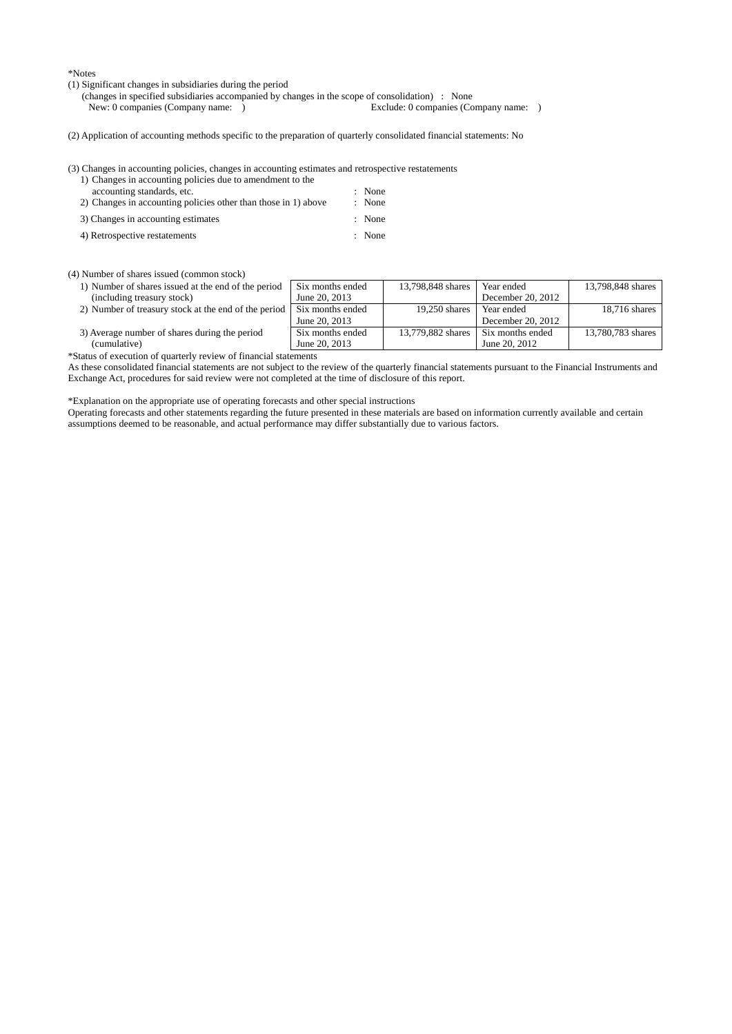\*Notes

(1) Significant changes in subsidiaries during the period

(changes in specified subsidiaries accompanied by changes in the scope of consolidation) : None<br>New: 0 companies (Company name: )<br>Reclude: 0 companies (Company name: )

- New: 0 companies (Company name: )
- (2) Application of accounting methods specific to the preparation of quarterly consolidated financial statements: No

(3) Changes in accounting policies, changes in accounting estimates and retrospective restatements

| 1) Changes in accounting policies due to amendment to the      |        |
|----------------------------------------------------------------|--------|
| accounting standards, etc.                                     | : None |
| 2) Changes in accounting policies other than those in 1) above | : None |
| 3) Changes in accounting estimates                             | : None |
| 4) Retrospective restatements                                  | : None |

#### (4) Number of shares issued (common stock)

1) Number of shares issued at the end of the period (including treasury stock) Six months ended June 20, 2013 2) Number of treasury stock at the end of the period  $\sqrt{\text{Six months ended}}$ June 20, 2013

|                                               | $\frac{1}{2}$ Julie 20. 2013 |
|-----------------------------------------------|------------------------------|
| 3) Average number of shares during the period | Six months ended             |
| (cumulative)                                  | June 20, 2013                |

\*Status of execution of quarterly review of financial statements

As these consolidated financial statements are not subject to the review of the quarterly financial statements pursuant to the Financial Instruments and Exchange Act, procedures for said review were not completed at the time of disclosure of this report.

13,798,848 shares Year ended

19,250 shares Year ended

13,779,882 shares Six months ended

December 20, 2012

December 20, 2012

June 20, 2012

13,798,848 shares

13,780,783 shares

18,716 shares

\*Explanation on the appropriate use of operating forecasts and other special instructions

Operating forecasts and other statements regarding the future presented in these materials are based on information currently available and certain assumptions deemed to be reasonable, and actual performance may differ substantially due to various factors.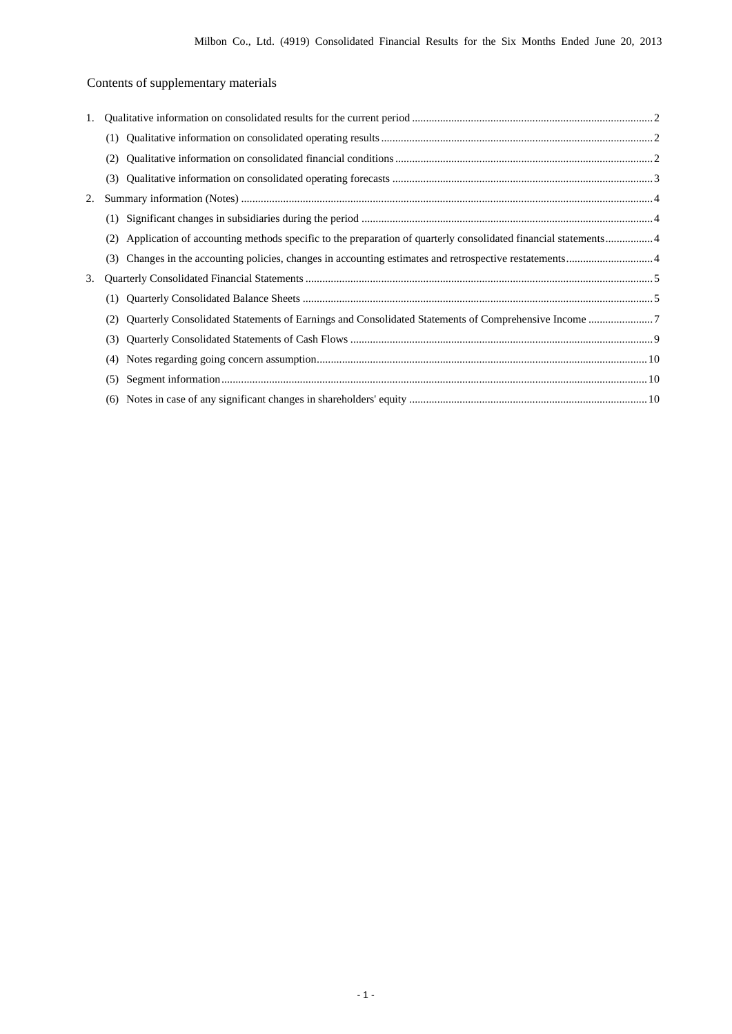# Contents of supplementary materials

| 1. |                                                                                                                       |  |
|----|-----------------------------------------------------------------------------------------------------------------------|--|
|    | (1)                                                                                                                   |  |
|    | (2)                                                                                                                   |  |
|    | (3)                                                                                                                   |  |
| 2. |                                                                                                                       |  |
|    | (1)                                                                                                                   |  |
|    | Application of accounting methods specific to the preparation of quarterly consolidated financial statements 4<br>(2) |  |
|    | (3)                                                                                                                   |  |
| 3. |                                                                                                                       |  |
|    | (1)                                                                                                                   |  |
|    | (2)                                                                                                                   |  |
|    | (3)                                                                                                                   |  |
|    | (4)                                                                                                                   |  |
|    | (5)                                                                                                                   |  |
|    | (6)                                                                                                                   |  |
|    |                                                                                                                       |  |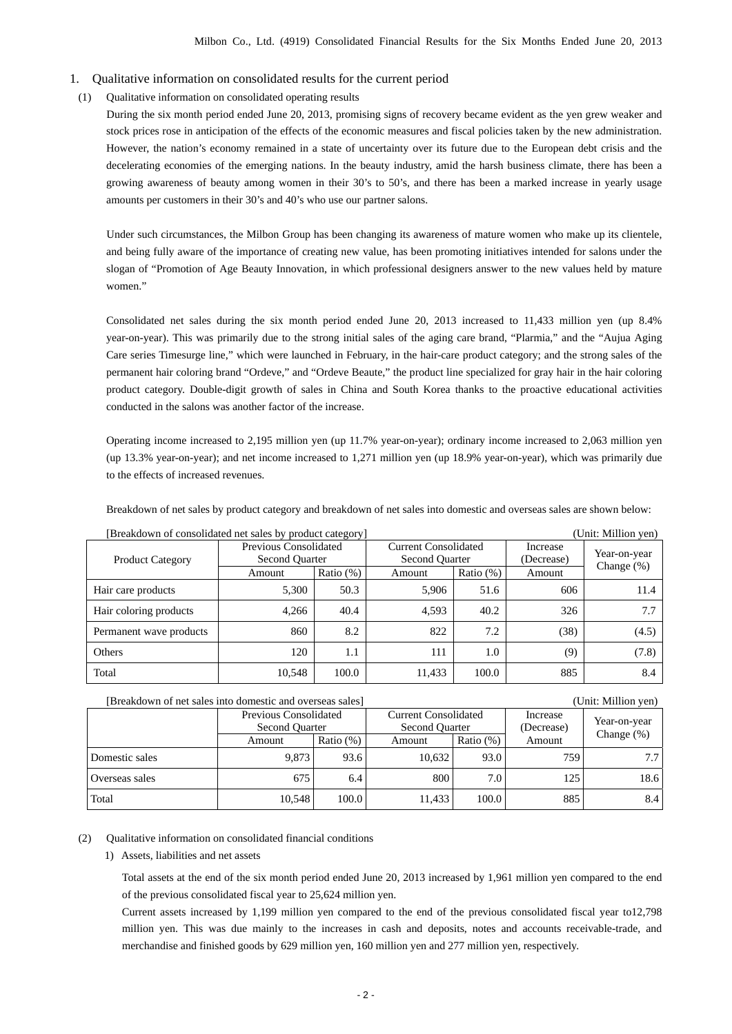- 1. Qualitative information on consolidated results for the current period
- (1) Qualitative information on consolidated operating results

During the six month period ended June 20, 2013, promising signs of recovery became evident as the yen grew weaker and stock prices rose in anticipation of the effects of the economic measures and fiscal policies taken by the new administration. However, the nation's economy remained in a state of uncertainty over its future due to the European debt crisis and the decelerating economies of the emerging nations. In the beauty industry, amid the harsh business climate, there has been a growing awareness of beauty among women in their 30's to 50's, and there has been a marked increase in yearly usage amounts per customers in their 30's and 40's who use our partner salons.

Under such circumstances, the Milbon Group has been changing its awareness of mature women who make up its clientele, and being fully aware of the importance of creating new value, has been promoting initiatives intended for salons under the slogan of "Promotion of Age Beauty Innovation, in which professional designers answer to the new values held by mature women."

Consolidated net sales during the six month period ended June 20, 2013 increased to 11,433 million yen (up 8.4% year-on-year). This was primarily due to the strong initial sales of the aging care brand, "Plarmia," and the "Aujua Aging Care series Timesurge line," which were launched in February, in the hair-care product category; and the strong sales of the permanent hair coloring brand "Ordeve," and "Ordeve Beaute," the product line specialized for gray hair in the hair coloring product category. Double-digit growth of sales in China and South Korea thanks to the proactive educational activities conducted in the salons was another factor of the increase.

Operating income increased to 2,195 million yen (up 11.7% year-on-year); ordinary income increased to 2,063 million yen (up 13.3% year-on-year); and net income increased to 1,271 million yen (up 18.9% year-on-year), which was primarily due to the effects of increased revenues.

Breakdown of net sales by product category and breakdown of net sales into domestic and overseas sales are shown below:

| [Breakdown of consolidated net sales by product category] |                                                |              |                                               |              |                        | (Unit: Million yen) |
|-----------------------------------------------------------|------------------------------------------------|--------------|-----------------------------------------------|--------------|------------------------|---------------------|
| <b>Product Category</b>                                   | Previous Consolidated<br><b>Second Quarter</b> |              | <b>Current Consolidated</b><br>Second Quarter |              | Increase<br>(Decrease) | Year-on-year        |
|                                                           | Amount                                         | Ratio $(\%)$ | Amount                                        | Ratio $(\%)$ | Amount                 | Change $(\%)$       |
| Hair care products                                        | 5,300                                          | 50.3         | 5.906                                         | 51.6         | 606                    | 11.4                |
| Hair coloring products                                    | 4.266                                          | 40.4         | 4.593                                         | 40.2         | 326                    | 7.7                 |
| Permanent wave products                                   | 860                                            | 8.2          | 822                                           | 7.2          | (38)                   | (4.5)               |
| Others                                                    | 120                                            | 1.1          | 111                                           | 1.0          | (9)                    | (7.8)               |
| Total                                                     | 10,548                                         | 100.0        | 11,433                                        | 100.0        | 885                    | 8.4                 |

| [Breakdown of net sales into domestic and overseas sales] |                                                |              |                                               |              |                        | (Unit: Million yen) |
|-----------------------------------------------------------|------------------------------------------------|--------------|-----------------------------------------------|--------------|------------------------|---------------------|
|                                                           | Previous Consolidated<br><b>Second Quarter</b> |              | <b>Current Consolidated</b><br>Second Quarter |              | Increase<br>(Decrease) | Year-on-year        |
|                                                           | Amount                                         | Ratio $(\%)$ | Amount                                        | Ratio $(\%)$ | Amount                 | Change $(\%)$       |
| Domestic sales                                            | 9.873                                          | 93.6         | 10.632                                        | 93.0         | 759                    | 7.7                 |
| Overseas sales                                            | 675                                            | 6.4          | 800                                           | 7.0          | 125                    | 18.6                |
| Total                                                     | 10.548                                         | 100.0        | 11.433                                        | 100.0        | 885                    | 8.4                 |

(2) Qualitative information on consolidated financial conditions

1) Assets, liabilities and net assets

Total assets at the end of the six month period ended June 20, 2013 increased by 1,961 million yen compared to the end of the previous consolidated fiscal year to 25,624 million yen.

Current assets increased by 1,199 million yen compared to the end of the previous consolidated fiscal year to12,798 million yen. This was due mainly to the increases in cash and deposits, notes and accounts receivable-trade, and merchandise and finished goods by 629 million yen, 160 million yen and 277 million yen, respectively.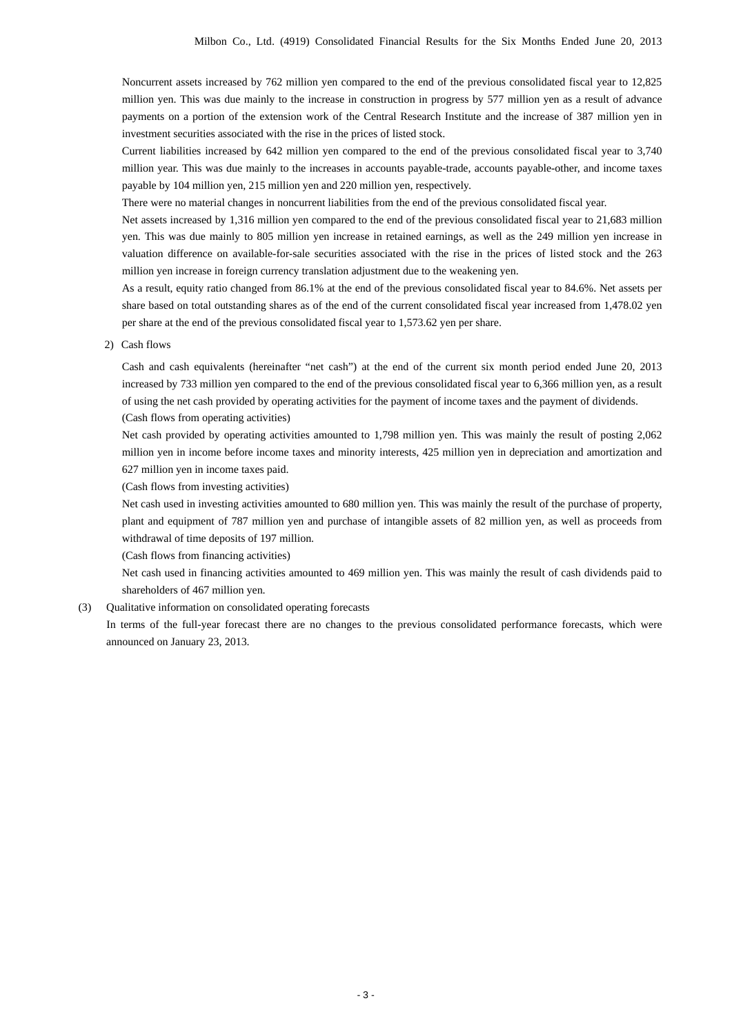Noncurrent assets increased by 762 million yen compared to the end of the previous consolidated fiscal year to 12,825 million yen. This was due mainly to the increase in construction in progress by 577 million yen as a result of advance payments on a portion of the extension work of the Central Research Institute and the increase of 387 million yen in investment securities associated with the rise in the prices of listed stock.

Current liabilities increased by 642 million yen compared to the end of the previous consolidated fiscal year to 3,740 million year. This was due mainly to the increases in accounts payable-trade, accounts payable-other, and income taxes payable by 104 million yen, 215 million yen and 220 million yen, respectively.

There were no material changes in noncurrent liabilities from the end of the previous consolidated fiscal year.

Net assets increased by 1,316 million yen compared to the end of the previous consolidated fiscal year to 21,683 million yen. This was due mainly to 805 million yen increase in retained earnings, as well as the 249 million yen increase in valuation difference on available-for-sale securities associated with the rise in the prices of listed stock and the 263 million yen increase in foreign currency translation adjustment due to the weakening yen.

As a result, equity ratio changed from 86.1% at the end of the previous consolidated fiscal year to 84.6%. Net assets per share based on total outstanding shares as of the end of the current consolidated fiscal year increased from 1,478.02 yen per share at the end of the previous consolidated fiscal year to 1,573.62 yen per share.

2) Cash flows

Cash and cash equivalents (hereinafter "net cash") at the end of the current six month period ended June 20, 2013 increased by 733 million yen compared to the end of the previous consolidated fiscal year to 6,366 million yen, as a result of using the net cash provided by operating activities for the payment of income taxes and the payment of dividends.

(Cash flows from operating activities)

Net cash provided by operating activities amounted to 1,798 million yen. This was mainly the result of posting 2,062 million yen in income before income taxes and minority interests, 425 million yen in depreciation and amortization and 627 million yen in income taxes paid.

(Cash flows from investing activities)

Net cash used in investing activities amounted to 680 million yen. This was mainly the result of the purchase of property, plant and equipment of 787 million yen and purchase of intangible assets of 82 million yen, as well as proceeds from withdrawal of time deposits of 197 million.

(Cash flows from financing activities)

Net cash used in financing activities amounted to 469 million yen. This was mainly the result of cash dividends paid to shareholders of 467 million yen.

#### (3) Qualitative information on consolidated operating forecasts

In terms of the full-year forecast there are no changes to the previous consolidated performance forecasts, which were announced on January 23, 2013.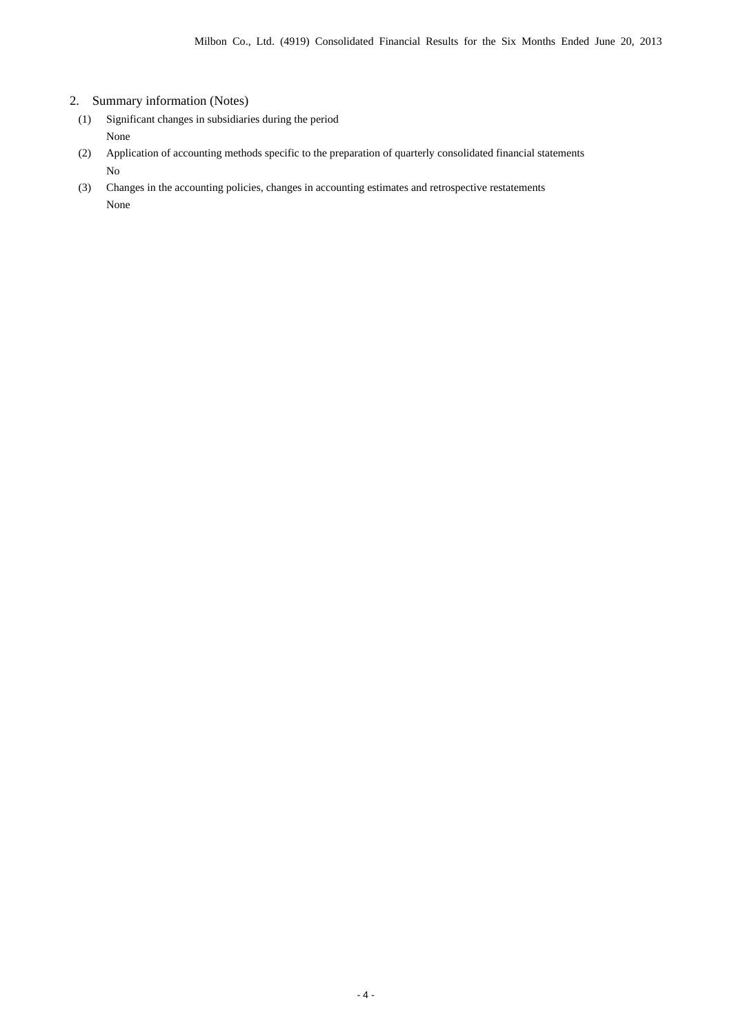### 2. Summary information (Notes)

- (1) Significant changes in subsidiaries during the period None
- (2) Application of accounting methods specific to the preparation of quarterly consolidated financial statements No
- (3) Changes in the accounting policies, changes in accounting estimates and retrospective restatements None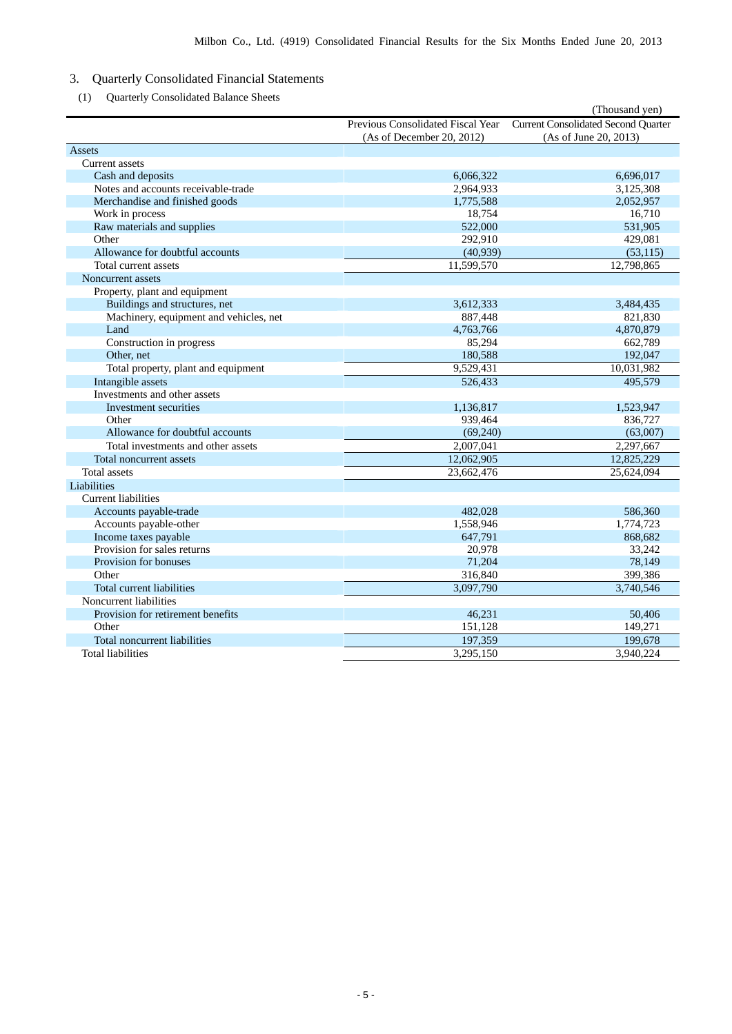## 3. Quarterly Consolidated Financial Statements

(1) Quarterly Consolidated Balance Sheets

|                                        |                                   | (Thousand yen)                             |
|----------------------------------------|-----------------------------------|--------------------------------------------|
|                                        | Previous Consolidated Fiscal Year | <b>Current Consolidated Second Quarter</b> |
|                                        | (As of December 20, 2012)         | (As of June 20, 2013)                      |
| Assets                                 |                                   |                                            |
| <b>Current</b> assets                  |                                   |                                            |
| Cash and deposits                      | 6,066,322                         | 6,696,017                                  |
| Notes and accounts receivable-trade    | 2,964,933                         | 3,125,308                                  |
| Merchandise and finished goods         | 1,775,588                         | 2,052,957                                  |
| Work in process                        | 18,754                            | 16,710                                     |
| Raw materials and supplies             | 522,000                           | 531,905                                    |
| Other                                  | 292,910                           | 429,081                                    |
| Allowance for doubtful accounts        | (40,939)                          | (53, 115)                                  |
| Total current assets                   | 11,599,570                        | 12,798,865                                 |
| Noncurrent assets                      |                                   |                                            |
| Property, plant and equipment          |                                   |                                            |
| Buildings and structures, net          | 3,612,333                         | 3,484,435                                  |
| Machinery, equipment and vehicles, net | 887,448                           | 821,830                                    |
| Land                                   | 4,763,766                         | 4,870,879                                  |
| Construction in progress               | 85,294                            | 662,789                                    |
| Other, net                             | 180,588                           | 192,047                                    |
| Total property, plant and equipment    | 9,529,431                         | 10,031,982                                 |
| Intangible assets                      | 526,433                           | 495,579                                    |
| Investments and other assets           |                                   |                                            |
| Investment securities                  | 1,136,817                         | 1,523,947                                  |
| Other                                  | 939,464                           | 836,727                                    |
| Allowance for doubtful accounts        | (69,240)                          | (63,007)                                   |
| Total investments and other assets     | 2,007,041                         | 2,297,667                                  |
| Total noncurrent assets                | 12,062,905                        | 12,825,229                                 |
| Total assets                           | 23,662,476                        | 25,624,094                                 |
| Liabilities                            |                                   |                                            |
| <b>Current liabilities</b>             |                                   |                                            |
| Accounts payable-trade                 | 482,028                           | 586,360                                    |
| Accounts payable-other                 | 1,558,946                         | 1,774,723                                  |
| Income taxes payable                   | 647,791                           | 868,682                                    |
| Provision for sales returns            | 20,978                            | 33,242                                     |
| Provision for bonuses                  | 71,204                            | 78,149                                     |
| Other                                  | 316,840                           | 399,386                                    |
| Total current liabilities              | 3,097,790                         | 3,740,546                                  |
| Noncurrent liabilities                 |                                   |                                            |
| Provision for retirement benefits      | 46,231                            | 50,406                                     |
| Other                                  | 151,128                           | 149,271                                    |
| Total noncurrent liabilities           | 197,359                           | 199,678                                    |
| Total liabilities                      | 3,295,150                         | 3.940.224                                  |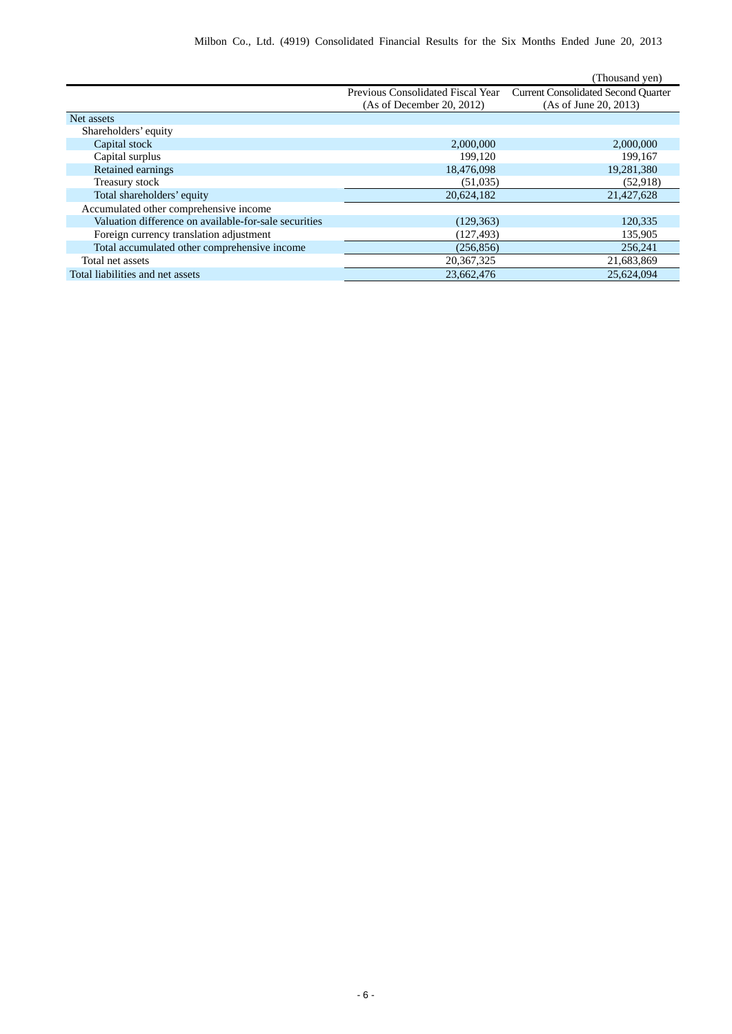|                                                       |                                   | (Thousand yen)                             |
|-------------------------------------------------------|-----------------------------------|--------------------------------------------|
|                                                       | Previous Consolidated Fiscal Year | <b>Current Consolidated Second Quarter</b> |
|                                                       | (As of December 20, 2012)         | (As of June 20, 2013)                      |
| Net assets                                            |                                   |                                            |
| Shareholders' equity                                  |                                   |                                            |
| Capital stock                                         | 2,000,000                         | 2,000,000                                  |
| Capital surplus                                       | 199,120                           | 199.167                                    |
| Retained earnings                                     | 18,476,098                        | 19,281,380                                 |
| Treasury stock                                        | (51,035)                          | (52,918)                                   |
| Total shareholders' equity                            | 20,624,182                        | 21,427,628                                 |
| Accumulated other comprehensive income                |                                   |                                            |
| Valuation difference on available-for-sale securities | (129, 363)                        | 120,335                                    |
| Foreign currency translation adjustment               | (127, 493)                        | 135,905                                    |
| Total accumulated other comprehensive income          | (256, 856)                        | 256,241                                    |
| Total net assets                                      | 20,367,325                        | 21,683,869                                 |
| Total liabilities and net assets                      | 23,662,476                        | 25.624.094                                 |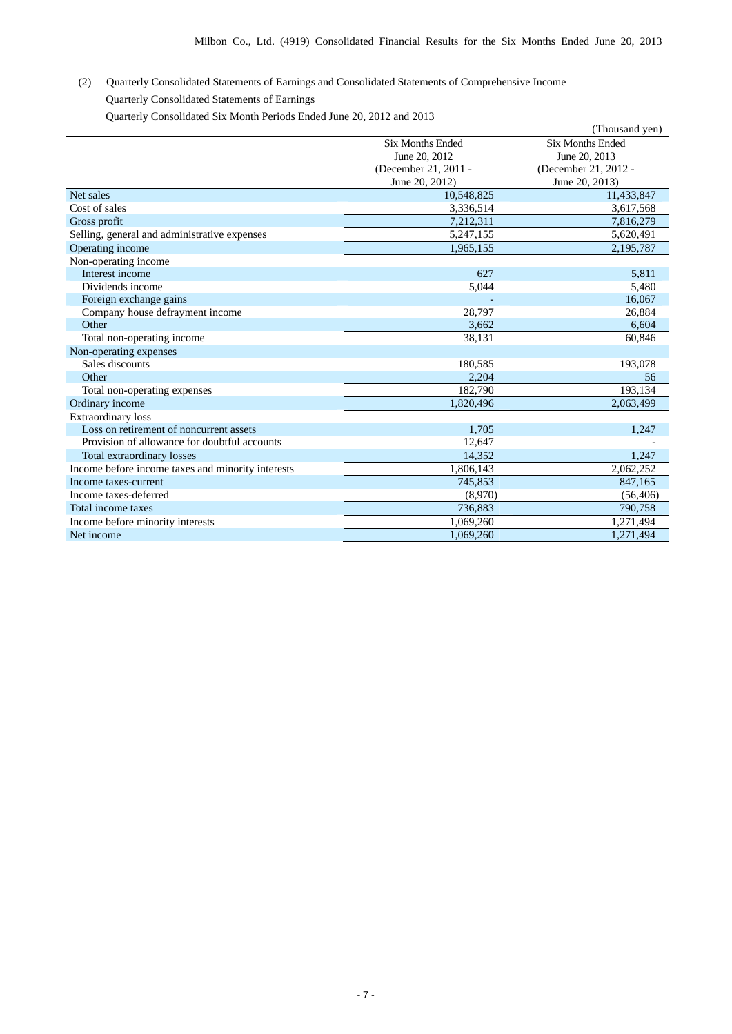(2) Quarterly Consolidated Statements of Earnings and Consolidated Statements of Comprehensive Income Quarterly Consolidated Statements of Earnings

Quarterly Consolidated Six Month Periods Ended June 20, 2012 and 2013

|                                                   |                         | (Thousand yen)          |
|---------------------------------------------------|-------------------------|-------------------------|
|                                                   | <b>Six Months Ended</b> | <b>Six Months Ended</b> |
|                                                   | June 20, 2012           | June 20, 2013           |
|                                                   | (December 21, 2011 -    | (December 21, 2012 -    |
|                                                   | June 20, 2012)          | June 20, 2013)          |
| Net sales                                         | 10,548,825              | 11,433,847              |
| Cost of sales                                     | 3,336,514               | 3,617,568               |
| Gross profit                                      | 7,212,311               | 7,816,279               |
| Selling, general and administrative expenses      | 5,247,155               | 5,620,491               |
| Operating income                                  | 1,965,155               | 2,195,787               |
| Non-operating income                              |                         |                         |
| Interest income                                   | 627                     | 5,811                   |
| Dividends income                                  | 5,044                   | 5,480                   |
| Foreign exchange gains                            |                         | 16,067                  |
| Company house defrayment income                   | 28,797                  | 26,884                  |
| Other                                             | 3,662                   | 6,604                   |
| Total non-operating income                        | 38,131                  | 60,846                  |
| Non-operating expenses                            |                         |                         |
| Sales discounts                                   | 180,585                 | 193,078                 |
| Other                                             | 2.204                   | 56                      |
| Total non-operating expenses                      | 182,790                 | 193,134                 |
| Ordinary income                                   | 1,820,496               | 2,063,499               |
| Extraordinary loss                                |                         |                         |
| Loss on retirement of noncurrent assets           | 1,705                   | 1,247                   |
| Provision of allowance for doubtful accounts      | 12,647                  |                         |
| Total extraordinary losses                        | 14,352                  | 1,247                   |
| Income before income taxes and minority interests | 1,806,143               | 2,062,252               |
| Income taxes-current                              | 745,853                 | 847,165                 |
| Income taxes-deferred                             | (8,970)                 | (56, 406)               |
| Total income taxes                                | 736,883                 | 790,758                 |
| Income before minority interests                  | 1,069,260               | 1,271,494               |
| Net income                                        | 1.069.260               | 1,271,494               |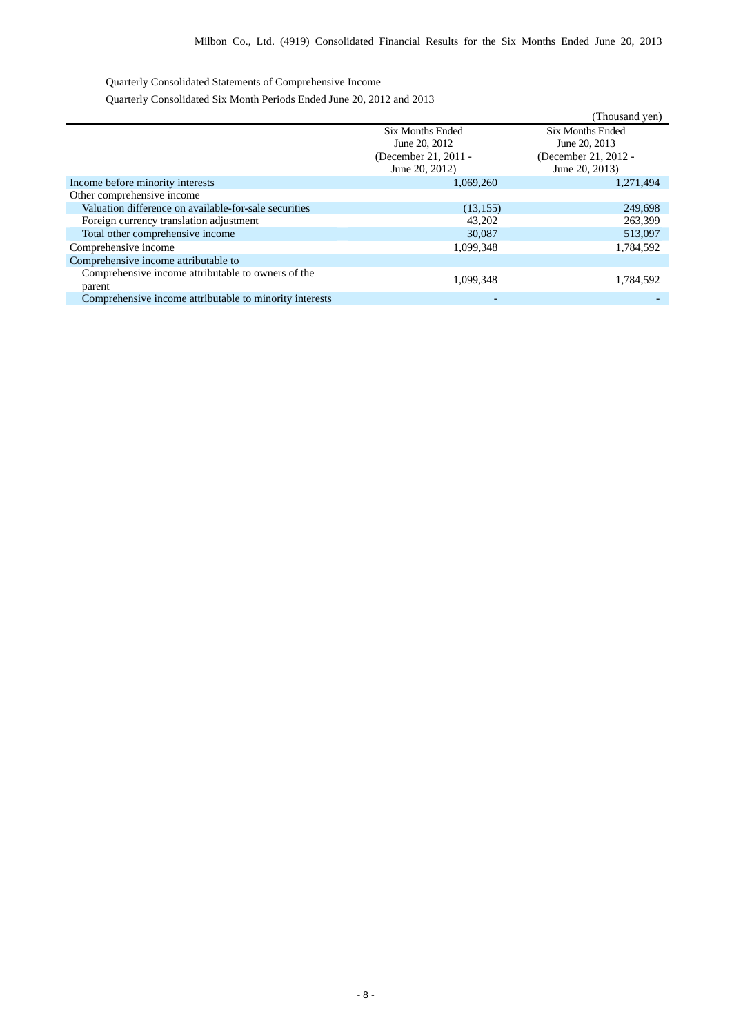Quarterly Consolidated Statements of Comprehensive Income

Quarterly Consolidated Six Month Periods Ended June 20, 2012 and 2013

|                                                         |                      | (Thousand yen)       |
|---------------------------------------------------------|----------------------|----------------------|
|                                                         | Six Months Ended     | Six Months Ended     |
|                                                         | June 20, 2012        | June 20, 2013        |
|                                                         | (December 21, 2011 - | (December 21, 2012 - |
|                                                         | June 20, 2012)       | June 20, 2013)       |
| Income before minority interests                        | 1,069,260            | 1,271,494            |
| Other comprehensive income                              |                      |                      |
| Valuation difference on available-for-sale securities   | (13, 155)            | 249,698              |
| Foreign currency translation adjustment                 | 43,202               | 263,399              |
| Total other comprehensive income                        | 30,087               | 513,097              |
| Comprehensive income                                    | 1,099,348            | 1,784,592            |
| Comprehensive income attributable to                    |                      |                      |
| Comprehensive income attributable to owners of the      |                      |                      |
| parent                                                  | 1,099,348            | 1,784,592            |
| Comprehensive income attributable to minority interests |                      |                      |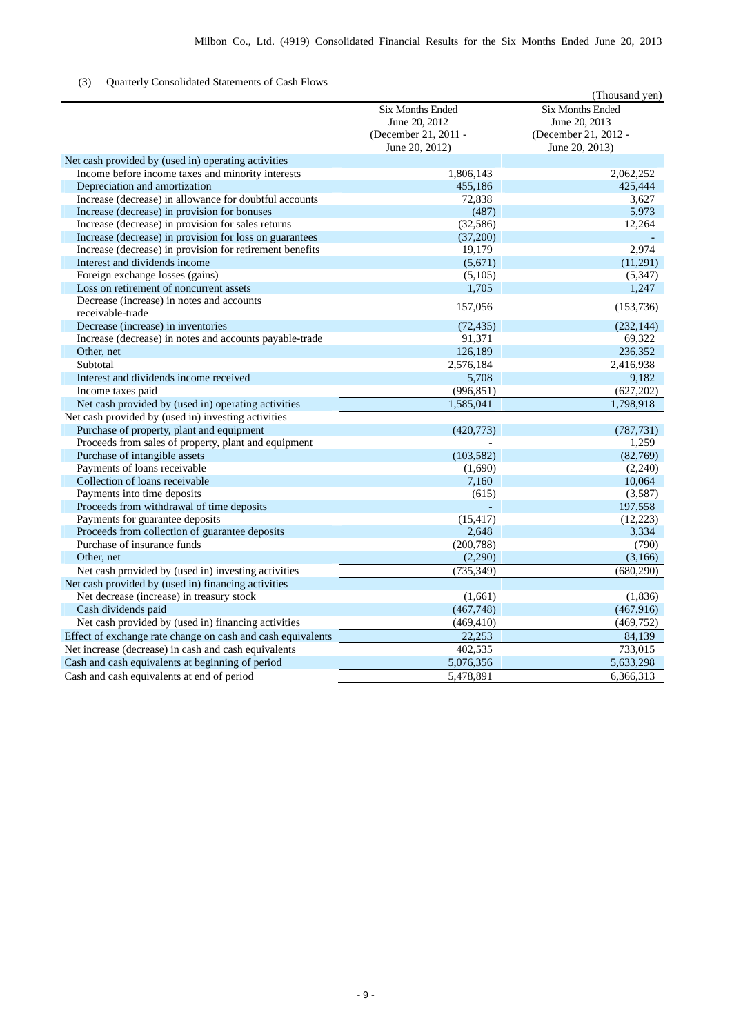### (3) Quarterly Consolidated Statements of Cash Flows

|                                                               |                                                                             | (Thousand yen)                                                              |
|---------------------------------------------------------------|-----------------------------------------------------------------------------|-----------------------------------------------------------------------------|
|                                                               | Six Months Ended<br>June 20, 2012<br>(December 21, 2011 -<br>June 20, 2012) | Six Months Ended<br>June 20, 2013<br>(December 21, 2012 -<br>June 20, 2013) |
| Net cash provided by (used in) operating activities           |                                                                             |                                                                             |
| Income before income taxes and minority interests             | 1,806,143                                                                   | 2,062,252                                                                   |
| Depreciation and amortization                                 | 455,186                                                                     | 425,444                                                                     |
| Increase (decrease) in allowance for doubtful accounts        | 72,838                                                                      | 3,627                                                                       |
| Increase (decrease) in provision for bonuses                  | (487)                                                                       | 5,973                                                                       |
| Increase (decrease) in provision for sales returns            | (32, 586)                                                                   | 12,264                                                                      |
| Increase (decrease) in provision for loss on guarantees       | (37,200)                                                                    |                                                                             |
| Increase (decrease) in provision for retirement benefits      | 19,179                                                                      | 2,974                                                                       |
| Interest and dividends income                                 | (5,671)                                                                     | (11,291)                                                                    |
| Foreign exchange losses (gains)                               | (5,105)                                                                     | (5, 347)                                                                    |
| Loss on retirement of noncurrent assets                       | 1,705                                                                       | 1,247                                                                       |
| Decrease (increase) in notes and accounts<br>receivable-trade | 157,056                                                                     | (153, 736)                                                                  |
| Decrease (increase) in inventories                            | (72, 435)                                                                   | (232, 144)                                                                  |
| Increase (decrease) in notes and accounts payable-trade       | 91,371                                                                      | 69,322                                                                      |
| Other, net                                                    | 126,189                                                                     | 236,352                                                                     |
| Subtotal                                                      | 2,576,184                                                                   | 2,416,938                                                                   |
| Interest and dividends income received                        | 5,708                                                                       | 9.182                                                                       |
| Income taxes paid                                             | (996, 851)                                                                  | (627, 202)                                                                  |
| Net cash provided by (used in) operating activities           | 1,585,041                                                                   | 1,798,918                                                                   |
| Net cash provided by (used in) investing activities           |                                                                             |                                                                             |
| Purchase of property, plant and equipment                     | (420,773)                                                                   | (787, 731)                                                                  |
| Proceeds from sales of property, plant and equipment          |                                                                             | 1,259                                                                       |
| Purchase of intangible assets                                 | (103, 582)                                                                  | (82,769)                                                                    |
| Payments of loans receivable                                  | (1,690)                                                                     | (2,240)                                                                     |
| Collection of loans receivable                                | 7,160                                                                       | 10,064                                                                      |
| Payments into time deposits                                   | (615)                                                                       | (3,587)                                                                     |
| Proceeds from withdrawal of time deposits                     |                                                                             | 197,558                                                                     |
| Payments for guarantee deposits                               | (15, 417)                                                                   | (12, 223)                                                                   |
| Proceeds from collection of guarantee deposits                | 2,648                                                                       | 3,334                                                                       |
| Purchase of insurance funds                                   | (200, 788)                                                                  | (790)                                                                       |
| Other, net                                                    | (2,290)                                                                     | (3,166)                                                                     |
| Net cash provided by (used in) investing activities           | (735, 349)                                                                  | (680, 290)                                                                  |
| Net cash provided by (used in) financing activities           |                                                                             |                                                                             |
| Net decrease (increase) in treasury stock                     | (1,661)                                                                     | (1,836)                                                                     |
| Cash dividends paid                                           | (467,748)                                                                   | (467,916)                                                                   |
| Net cash provided by (used in) financing activities           | (469, 410)                                                                  | (469, 752)                                                                  |
| Effect of exchange rate change on cash and cash equivalents   | 22,253                                                                      | 84,139                                                                      |
| Net increase (decrease) in cash and cash equivalents          | 402,535                                                                     | 733,015                                                                     |
| Cash and cash equivalents at beginning of period              | 5,076,356                                                                   | 5,633,298                                                                   |
| Cash and cash equivalents at end of period                    | 5,478,891                                                                   | 6,366,313                                                                   |